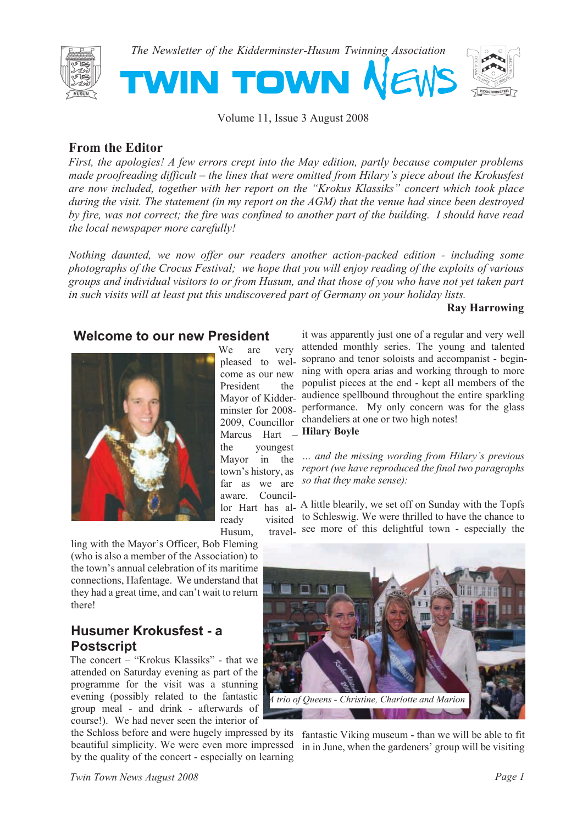

*The Newsletter of the Kidderminster-Husum Twinning Association*



Volume 11, Issue 3 August 2008

OWN

## **From the Editor**

*First, the apologies! A few errors crept into the May edition, partly because computer problems made proofreading difficult – the lines that were omitted from Hilary's piece about the Krokusfest are now included, together with her report on the "Krokus Klassiks" concert which took place during the visit. The statement (in my report on the AGM) that the venue had since been destroyed by fire, was not correct; the fire was confined to another part of the building. I should have read the local newspaper more carefully!*

*Nothing daunted, we now offer our readers another action-packed edition - including some photographs of the Crocus Festival; we hope that you will enjoy reading of the exploits of various groups and individual visitors to or from Husum, and that those of you who have not yet taken part in such visits will at least put this undiscovered part of Germany on your holiday lists.*

We are very

come as our new President the

the youngest Mayor in the

#### **Ray Harrowing**

#### **Welcome to our new President**

**TWIN T** 



Husum. ling with the Mayor's Officer, Bob Fleming (who is also a member of the Association) to the town's annual celebration of its maritime connections, Hafentage. We understand that they had a great time, and can't wait to return there!

## **Husumer Krokusfest - a Postscript**

The concert – "Krokus Klassiks" - that we attended on Saturday evening as part of the programme for the visit was a stunning evening (possibly related to the fantastic group meal - and drink - afterwards of course!). We had never seen the interior of

the Schloss before and were hugely impressed by its fantastic Viking museum - than we will be able to fit beautiful simplicity. We were even more impressed in in June, when the gardeners' group will be visiting by the quality of the concert - especially on learning

pleased to wel-soprano and tenor soloists and accompanist - begin-Mayor of Kidder-audience spellbound throughout the entire sparkling minster for 2008- performance. My only concern was for the glass 2009, Councillor Marcus Hart – it was apparently just one of a regular and very well attended monthly series. The young and talented ning with opera arias and working through to more populist pieces at the end - kept all members of the chandeliers at one or two high notes! **Hilary Boyle**

town's history, as *report (we have reproduced the final two paragraphs* far as we are *so that they make sense*): *… and the missing wording from Hilary's previous*

aware. Councillor Hart has al-A little blearily, we set off on Sunday with the Topfs ready visited to Schleswig. We were thrilled to have the chance to travel- see more of this delightful town - especially the

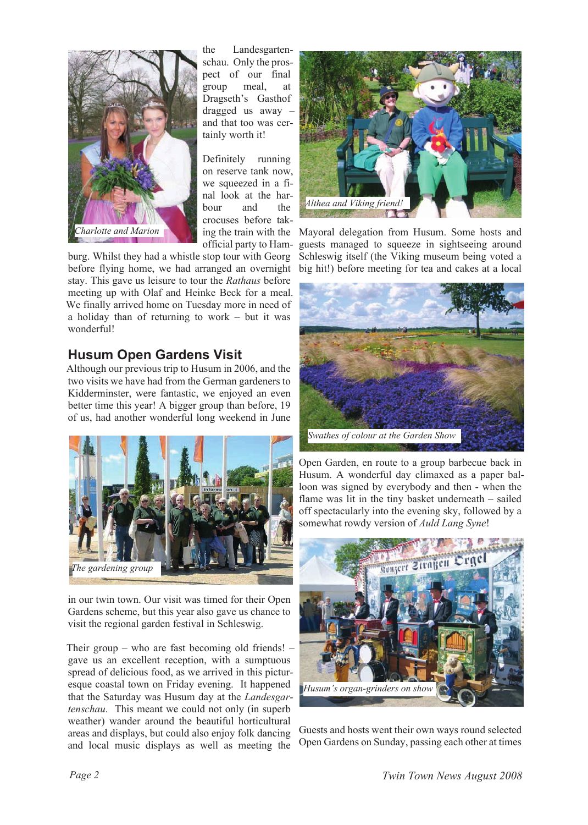

the Landesgartenschau. Only the prospect of our final group meal, at Dragseth's Gasthof dragged us away – and that too was certainly worth it!

Definitely running on reserve tank now, we squeezed in a final look at the har-<br>bour and the bour and the crocuses before takofficial party to Ham-

burg. Whilst they had a whistle stop tour with Georg before flying home, we had arranged an overnight stay. This gave us leisure to tour the *Rathaus* before meeting up with Olaf and Heinke Beck for a meal. We finally arrived home on Tuesday more in need of a holiday than of returning to work – but it was wonderful!

# **Husum Open Gardens Visit**

Although our previous trip to Husum in 2006, and the two visits we have had from the German gardeners to Kidderminster, were fantastic, we enjoyed an even better time this year! A bigger group than before, 19 of us, had another wonderful long weekend in June



in our twin town. Our visit was timed for their Open Gardens scheme, but this year also gave us chance to visit the regional garden festival in Schleswig.

Their group – who are fast becoming old friends! – gave us an excellent reception, with a sumptuous spread of delicious food, as we arrived in this picturesque coastal town on Friday evening. It happened that the Saturday was Husum day at the *Landesgartenschau*. This meant we could not only (in superb weather) wander around the beautiful horticultural areas and displays, but could also enjoy folk dancing and local music displays as well as meeting the



ing the train with the Mayoral delegation from Husum. Some hosts and guests managed to squeeze in sightseeing around Schleswig itself (the Viking museum being voted a big hit!) before meeting for tea and cakes at a local



Open Garden, en route to a group barbecue back in Husum. A wonderful day climaxed as a paper balloon was signed by everybody and then - when the flame was lit in the tiny basket underneath – sailed off spectacularly into the evening sky, followed by a somewhat rowdy version of *Auld Lang Syne*!



Guests and hosts went their own ways round selected Open Gardens on Sunday, passing each other at times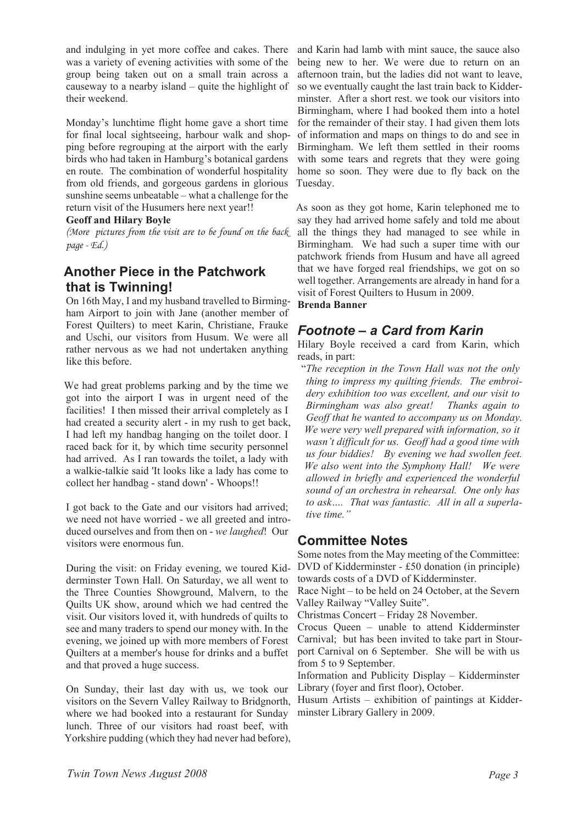and indulging in yet more coffee and cakes. There was a variety of evening activities with some of the group being taken out on a small train across a causeway to a nearby island – quite the highlight of their weekend.

Monday's lunchtime flight home gave a short time for final local sightseeing, harbour walk and shopping before regrouping at the airport with the early birds who had taken in Hamburg's botanical gardens en route. The combination of wonderful hospitality from old friends, and gorgeous gardens in glorious sunshine seems unbeatable – what a challenge for the return visit of the Husumers here next year!!

#### **Geoff and Hilary Boyle**

*(More pictures from the visit are to be found on the back page - Ed.)*

## **Another Piece in the Patchwork that is Twinning!**

On 16th May, I and my husband travelled to Birmingham Airport to join with Jane (another member of Forest Quilters) to meet Karin, Christiane, Frauke and Uschi, our visitors from Husum. We were all rather nervous as we had not undertaken anything like this before.

We had great problems parking and by the time we got into the airport I was in urgent need of the facilities! I then missed their arrival completely as I had created a security alert - in my rush to get back, I had left my handbag hanging on the toilet door. I raced back for it, by which time security personnel had arrived. As I ran towards the toilet, a lady with a walkie-talkie said 'It looks like a lady has come to collect her handbag - stand down' - Whoops!!

I got back to the Gate and our visitors had arrived; we need not have worried - we all greeted and introduced ourselves and from then on - *we laughed*! Our visitors were enormous fun.

During the visit: on Friday evening, we toured Kidderminster Town Hall. On Saturday, we all went to the Three Counties Showground, Malvern, to the Quilts UK show, around which we had centred the visit. Our visitors loved it, with hundreds of quilts to see and many traders to spend our money with. In the evening, we joined up with more members of Forest Quilters at a member's house for drinks and a buffet and that proved a huge success.

On Sunday, their last day with us, we took our visitors on the Severn Valley Railway to Bridgnorth, where we had booked into a restaurant for Sunday lunch. Three of our visitors had roast beef, with Yorkshire pudding (which they had never had before),

and Karin had lamb with mint sauce, the sauce also being new to her. We were due to return on an afternoon train, but the ladies did not want to leave, so we eventually caught the last train back to Kidderminster. After a short rest. we took our visitors into Birmingham, where I had booked them into a hotel for the remainder of their stay. I had given them lots of information and maps on things to do and see in Birmingham. We left them settled in their rooms with some tears and regrets that they were going home so soon. They were due to fly back on the Tuesday.

As soon as they got home, Karin telephoned me to say they had arrived home safely and told me about all the things they had managed to see while in Birmingham. We had such a super time with our patchwork friends from Husum and have all agreed that we have forged real friendships, we got on so well together. Arrangements are already in hand for a visit of Forest Quilters to Husum in 2009.

#### **Brenda Banner**

#### *Footnote – a Card from Karin*

Hilary Boyle received a card from Karin, which reads, in part:

"*The reception in the Town Hall was not the only thing to impress my quilting friends. The embroidery exhibition too was excellent, and our visit to Birmingham was also great! Thanks again to Geoff that he wanted to accompany us on Monday. We were very well prepared with information, so it wasn't difficult for us. Geoff had a good time with us four biddies! By evening we had swollen feet. We also went into the Symphony Hall! We were allowed in briefly and experienced the wonderful sound of an orchestra in rehearsal. One only has to ask…. That was fantastic. All in all a superlative time."*

#### **Committee Notes**

Some notes from the May meeting of the Committee: DVD of Kidderminster - £50 donation (in principle) towards costs of a DVD of Kidderminster.

Race Night – to be held on 24 October, at the Severn Valley Railway "Valley Suite".

Christmas Concert – Friday 28 November.

Crocus Queen – unable to attend Kidderminster Carnival; but has been invited to take part in Stourport Carnival on 6 September. She will be with us from 5 to 9 September.

Information and Publicity Display – Kidderminster Library (foyer and first floor), October.

Husum Artists – exhibition of paintings at Kidderminster Library Gallery in 2009.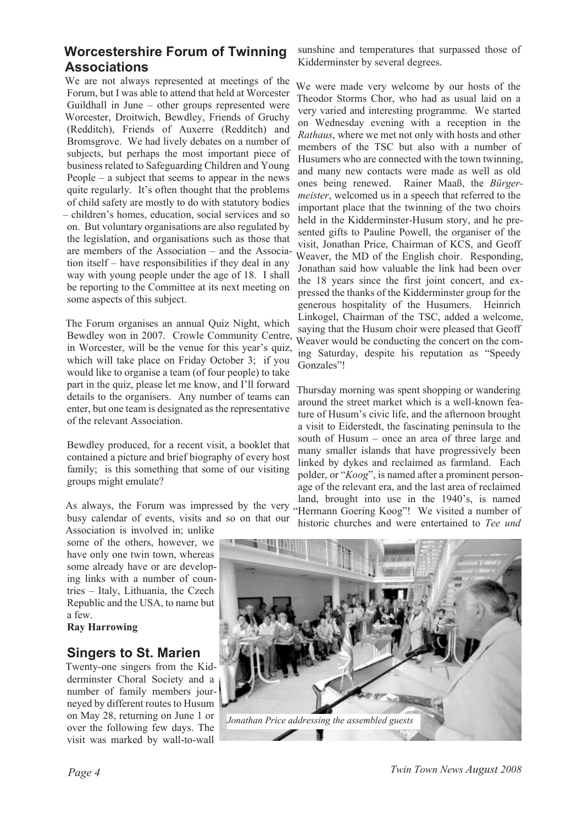## **Worcestershire Forum of Twinning Associations**

We are not always represented at meetings of the Forum, but I was able to attend that held at Worcester Guildhall in June – other groups represented were Worcester, Droitwich, Bewdley, Friends of Gruchy (Redditch), Friends of Auxerre (Redditch) and Bromsgrove. We had lively debates on a number of subjects, but perhaps the most important piece of business related to Safeguarding Children and Young People – a subject that seems to appear in the news quite regularly. It's often thought that the problems of child safety are mostly to do with statutory bodies – children's homes, education, social services and so on. But voluntary organisations are also regulated by the legislation, and organisations such as those that are members of the Association – and the Association itself – have responsibilities if they deal in any way with young people under the age of 18. I shall be reporting to the Committee at its next meeting on some aspects of this subject.

The Forum organises an annual Quiz Night, which Bewdley won in 2007. Crowle Community Centre, in Worcester, will be the venue for this year's quiz, which will take place on Friday October 3; if you would like to organise a team (of four people) to take part in the quiz, please let me know, and I'll forward details to the organisers. Any number of teams can enter, but one team is designated as the representative of the relevant Association.

Bewdley produced, for a recent visit, a booklet that contained a picture and brief biography of every host family; is this something that some of our visiting groups might emulate?

As always, the Forum was impressed by the very busy calendar of events, visits and so on that our

Association is involved in; unlike some of the others, however, we have only one twin town, whereas some already have or are developing links with a number of countries – Italy, Lithuania, the Czech Republic and the USA, to name but a few.

#### **Ray Harrowing**

#### **Singers to St. Marien**

Twenty-one singers from the Kidderminster Choral Society and a number of family members journeyed by different routes to Husum on May 28, returning on June 1 or over the following few days. The visit was marked by wall-to-wall

sunshine and temperatures that surpassed those of Kidderminster by several degrees.

We were made very welcome by our hosts of the Theodor Storms Chor, who had as usual laid on a very varied and interesting programme. We started on Wednesday evening with a reception in the *Rathaus*, where we met not only with hosts and other members of the TSC but also with a number of Husumers who are connected with the town twinning, and many new contacts were made as well as old ones being renewed. Rainer Maaß, the *Bürgermeister*, welcomed us in a speech that referred to the important place that the twinning of the two choirs held in the Kidderminster-Husum story, and he presented gifts to Pauline Powell, the organiser of the visit, Jonathan Price, Chairman of KCS, and Geoff Weaver, the MD of the English choir. Responding, Jonathan said how valuable the link had been over the 18 years since the first joint concert, and expressed the thanks of the Kidderminster group for the generous hospitality of the Husumers. Heinrich Linkogel, Chairman of the TSC, added a welcome, saying that the Husum choir were pleased that Geoff Weaver would be conducting the concert on the coming Saturday, despite his reputation as "Speedy Gonzales"!

Thursday morning was spent shopping or wandering around the street market which is a well-known feature of Husum's civic life, and the afternoon brought a visit to Eiderstedt, the fascinating peninsula to the south of Husum – once an area of three large and many smaller islands that have progressively been linked by dykes and reclaimed as farmland. Each polder, or "*Koog*", is named after a prominent personage of the relevant era, and the last area of reclaimed land, brought into use in the 1940's, is named "Hermann Goering Koog"! We visited a number of historic churches and were entertained to *Tee und*

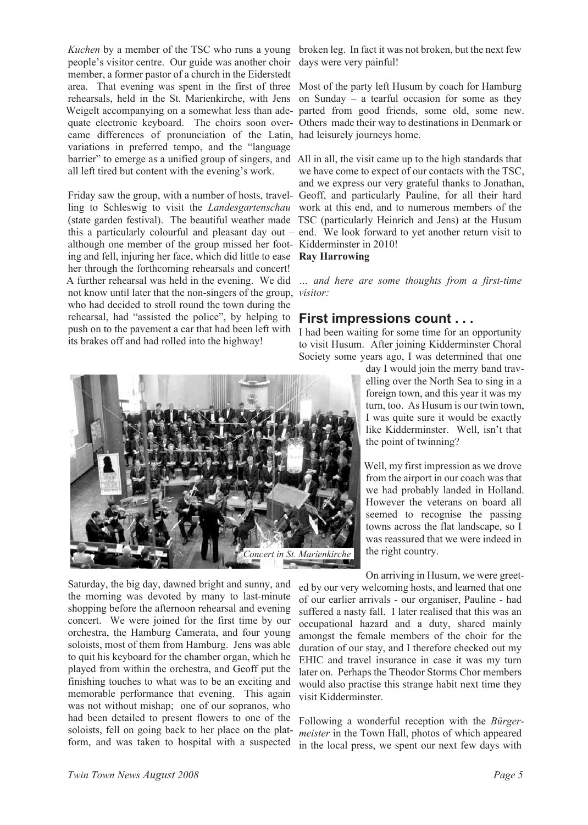Kuchen by a member of the TSC who runs a young broken leg. In fact it was not broken, but the next few people's visitor centre. Our guide was another choir member, a former pastor of a church in the Eiderstedt area. That evening was spent in the first of three Most of the party left Husum by coach for Hamburg rehearsals, held in the St. Marienkirche, with Jens Weigelt accompanying on a somewhat less than ade-parted from good friends, some old, some new. quate electronic keyboard. The choirs soon over-Others made their way to destinations in Denmark or came differences of pronunciation of the Latin, had leisurely journeys home. variations in preferred tempo, and the "language barrier" to emerge as a unified group of singers, and All in all, the visit came up to the high standards that all left tired but content with the evening's work.

Friday saw the group, with a number of hosts, travel-Geoff, and particularly Pauline, for all their hard ling to Schleswig to visit the *Landesgartenschau* work at this end, and to numerous members of the (state garden festival). The beautiful weather made TSC (particularly Heinrich and Jens) at the Husum this a particularly colourful and pleasant day out – end. We look forward to yet another return visit to although one member of the group missed her foot-Kidderminster in 2010! ing and fell, injuring her face, which did little to ease **Ray Harrowing** her through the forthcoming rehearsals and concert! A further rehearsal was held in the evening. We did not know until later that the non-singers of the group, *visitor:* who had decided to stroll round the town during the rehearsal, had "assisted the police", by helping to push on to the pavement a car that had been left with its brakes off and had rolled into the highway!

days were very painful!

on Sunday – a tearful occasion for some as they

we have come to expect of our contacts with the TSC, and we express our very grateful thanks to Jonathan,

*… and here are some thoughts from a first-time*

#### **First impressions count . . .**

I had been waiting for some time for an opportunity to visit Husum. After joining Kidderminster Choral Society some years ago, I was determined that one

> day I would join the merry band travelling over the North Sea to sing in a foreign town, and this year it was my turn, too. As Husum is our twin town, I was quite sure it would be exactly like Kidderminster. Well, isn't that the point of twinning?

> Well, my first impression as we drove from the airport in our coach was that we had probably landed in Holland. However the veterans on board all seemed to recognise the passing towns across the flat landscape, so I was reassured that we were indeed in the right country.

> On arriving in Husum, we were greet-

ed by our very welcoming hosts, and learned that one of our earlier arrivals - our organiser, Pauline - had suffered a nasty fall. I later realised that this was an occupational hazard and a duty, shared mainly amongst the female members of the choir for the duration of our stay, and I therefore checked out my EHIC and travel insurance in case it was my turn later on. Perhaps the Theodor Storms Chor members would also practise this strange habit next time they visit Kidderminster.

Following a wonderful reception with the *Bürgermeister* in the Town Hall, photos of which appeared in the local press, we spent our next few days with



form, and was taken to hospital with a suspected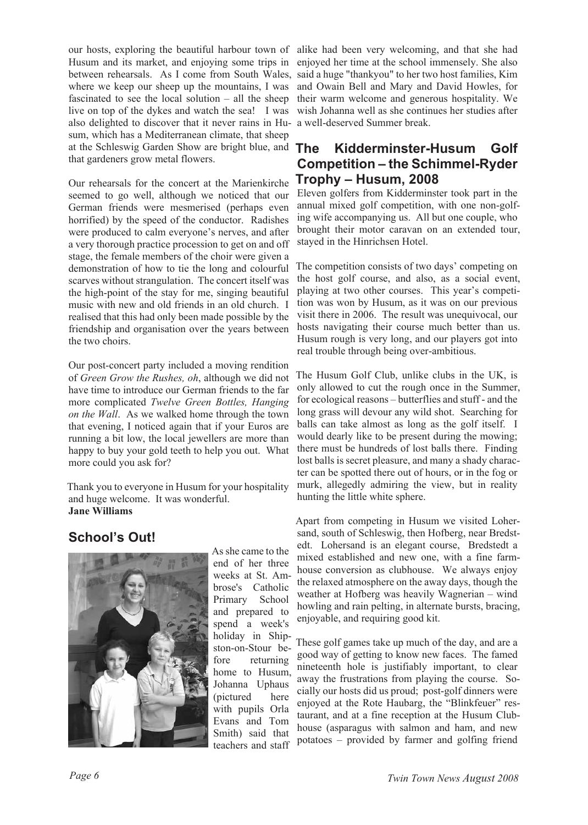our hosts, exploring the beautiful harbour town of alike had been very welcoming, and that she had Husum and its market, and enjoying some trips in between rehearsals. As I come from South Wales, said a huge "thankyou" to her two host families, Kim where we keep our sheep up the mountains, I was fascinated to see the local solution – all the sheep live on top of the dykes and watch the sea! I was wish Johanna well as she continues her studies after also delighted to discover that it never rains in Hu-a well-deserved Summer break. sum, which has a Mediterranean climate, that sheep at the Schleswig Garden Show are bright blue, and The that gardeners grow metal flowers.

Our rehearsals for the concert at the Marienkirche seemed to go well, although we noticed that our German friends were mesmerised (perhaps even horrified) by the speed of the conductor. Radishes were produced to calm everyone's nerves, and after a very thorough practice procession to get on and off stage, the female members of the choir were given a demonstration of how to tie the long and colourful scarves without strangulation. The concert itself was the high-point of the stay for me, singing beautiful music with new and old friends in an old church. I realised that this had only been made possible by the friendship and organisation over the years between the two choirs.

Our post-concert party included a moving rendition of *Green Grow the Rushes, oh*, although we did not have time to introduce our German friends to the far more complicated *Twelve Green Bottles, Hanging on the Wall*. As we walked home through the town that evening, I noticed again that if your Euros are running a bit low, the local jewellers are more than happy to buy your gold teeth to help you out. What more could you ask for?

Thank you to everyone in Husum for your hospitality and huge welcome. It was wonderful. **Jane Williams**

# **School's Out!**



As she came to the end of her three weeks at St. Ambrose's Catholic Primary School and prepared to spend a week's holiday in Shipston-on-Stour before returning home to Husum, Johanna Uphaus (pictured here with pupils Orla Evans and Tom Smith) said that teachers and staff

enjoyed her time at the school immensely. She also and Owain Bell and Mary and David Howles, for their warm welcome and generous hospitality. We

## **The Kidderminster-Husum Golf Competition – the Schimmel-Ryder Trophy – Husum, 2008**

Eleven golfers from Kidderminster took part in the annual mixed golf competition, with one non-golfing wife accompanying us. All but one couple, who brought their motor caravan on an extended tour, stayed in the Hinrichsen Hotel.

The competition consists of two days' competing on the host golf course, and also, as a social event, playing at two other courses. This year's competition was won by Husum, as it was on our previous visit there in 2006. The result was unequivocal, our hosts navigating their course much better than us. Husum rough is very long, and our players got into real trouble through being over-ambitious.

The Husum Golf Club, unlike clubs in the UK, is only allowed to cut the rough once in the Summer, for ecological reasons – butterflies and stuff - and the long grass will devour any wild shot. Searching for balls can take almost as long as the golf itself. I would dearly like to be present during the mowing; there must be hundreds of lost balls there. Finding lost balls is secret pleasure, and many a shady character can be spotted there out of hours, or in the fog or murk, allegedly admiring the view, but in reality hunting the little white sphere.

Apart from competing in Husum we visited Lohersand, south of Schleswig, then Hofberg, near Bredstedt. Lohersand is an elegant course, Bredstedt a mixed established and new one, with a fine farmhouse conversion as clubhouse. We always enjoy the relaxed atmosphere on the away days, though the weather at Hofberg was heavily Wagnerian – wind howling and rain pelting, in alternate bursts, bracing, enjoyable, and requiring good kit.

These golf games take up much of the day, and are a good way of getting to know new faces. The famed nineteenth hole is justifiably important, to clear away the frustrations from playing the course. Socially our hosts did us proud; post-golf dinners were enjoyed at the Rote Haubarg, the "Blinkfeuer" restaurant, and at a fine reception at the Husum Clubhouse (asparagus with salmon and ham, and new potatoes – provided by farmer and golfing friend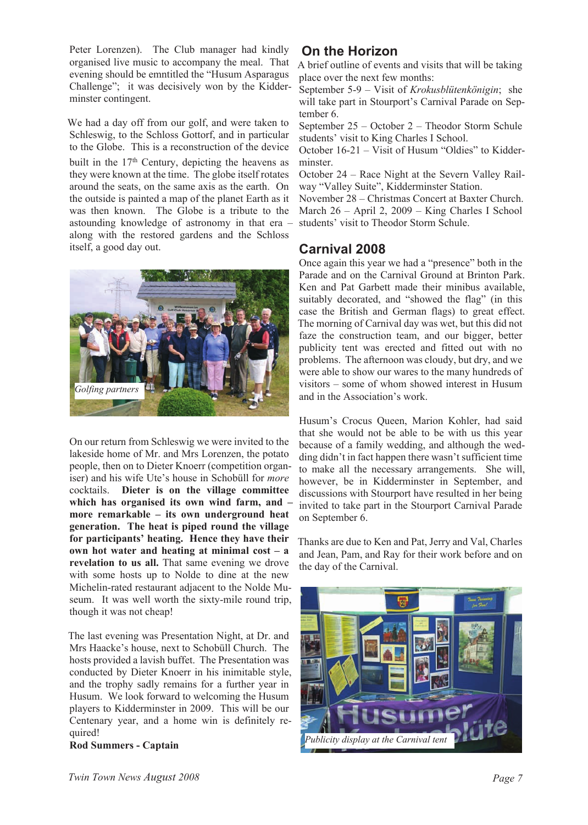Peter Lorenzen). The Club manager had kindly organised live music to accompany the meal. That evening should be emntitled the "Husum Asparagus Challenge"; it was decisively won by the Kidderminster contingent.

We had a day off from our golf, and were taken to Schleswig, to the Schloss Gottorf, and in particular to the Globe. This is a reconstruction of the device built in the 17th Century, depicting the heavens as they were known at the time. The globe itself rotates around the seats, on the same axis as the earth. On the outside is painted a map of the planet Earth as it was then known. The Globe is a tribute to the astounding knowledge of astronomy in that era – along with the restored gardens and the Schloss itself, a good day out.



On our return from Schleswig we were invited to the lakeside home of Mr. and Mrs Lorenzen, the potato people, then on to Dieter Knoerr (competition organiser) and his wife Ute's house in Schobüll for *more* cocktails. **Dieter is on the village committee which has organised its own wind farm, and – more remarkable – its own underground heat generation. The heat is piped round the village for participants' heating. Hence they have their own hot water and heating at minimal cost – a revelation to us all.** That same evening we drove with some hosts up to Nolde to dine at the new Michelin-rated restaurant adjacent to the Nolde Museum. It was well worth the sixty-mile round trip, though it was not cheap!

The last evening was Presentation Night, at Dr. and Mrs Haacke's house, next to Schobüll Church. The hosts provided a lavish buffet. The Presentation was conducted by Dieter Knoerr in his inimitable style, and the trophy sadly remains for a further year in Husum. We look forward to welcoming the Husum players to Kidderminster in 2009. This will be our Centenary year, and a home win is definitely required!

**Rod Summers - Captain**

# **On the Horizon**

A brief outline of events and visits that will be taking place over the next few months:

September 5-9 – Visit of *Krokusblütenkönigin*; she will take part in Stourport's Carnival Parade on September 6.

September 25 – October 2 – Theodor Storm Schule students' visit to King Charles I School.

October 16-21 – Visit of Husum "Oldies" to Kidderminster.

October 24 – Race Night at the Severn Valley Railway "Valley Suite", Kidderminster Station.

November 28 – Christmas Concert at Baxter Church. March 26 – April 2, 2009 – King Charles I School students' visit to Theodor Storm Schule.

## **Carnival 2008**

Once again this year we had a "presence" both in the Parade and on the Carnival Ground at Brinton Park. Ken and Pat Garbett made their minibus available, suitably decorated, and "showed the flag" (in this case the British and German flags) to great effect. The morning of Carnival day was wet, but this did not faze the construction team, and our bigger, better publicity tent was erected and fitted out with no problems. The afternoon was cloudy, but dry, and we were able to show our wares to the many hundreds of visitors – some of whom showed interest in Husum and in the Association's work.

Husum's Crocus Queen, Marion Kohler, had said that she would not be able to be with us this year because of a family wedding, and although the wedding didn't in fact happen there wasn't sufficient time to make all the necessary arrangements. She will, however, be in Kidderminster in September, and discussions with Stourport have resulted in her being invited to take part in the Stourport Carnival Parade on September 6.

Thanks are due to Ken and Pat, Jerry and Val, Charles and Jean, Pam, and Ray for their work before and on the day of the Carnival.